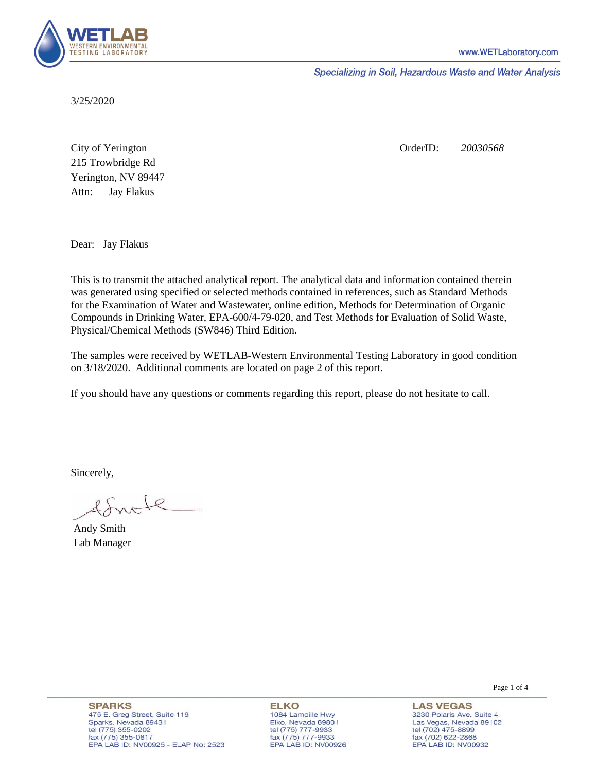

Specializing in Soil, Hazardous Waste and Water Analysis

3/25/2020

Attn: City of Yerington 215 Trowbridge Rd Jay Flakus Yerington, NV 89447 OrderID: *20030568*

Dear: Jay Flakus

This is to transmit the attached analytical report. The analytical data and information contained therein was generated using specified or selected methods contained in references, such as Standard Methods for the Examination of Water and Wastewater, online edition, Methods for Determination of Organic Compounds in Drinking Water, EPA-600/4-79-020, and Test Methods for Evaluation of Solid Waste, Physical/Chemical Methods (SW846) Third Edition.

The samples were received by WETLAB-Western Environmental Testing Laboratory in good condition on 3/18/2020. Additional comments are located on page 2 of this report.

If you should have any questions or comments regarding this report, please do not hesitate to call.

Sincerely,

 $A + R$ 

Andy Smith Lab Manager

**ELKO** 1084 Lamoille Hwy Elko, Nevada 89801 tel (775) 777-9933<br>fax (775) 777-9933 EPA LAB ID: NV00926 Page 1 of 4

**LAS VEGAS** 3230 Polaris Ave. Suite 4 Las Vegas, Nevada 89102 tel (702) 475-8899 fax (702) 622-2868 EPA LAB ID: NV00932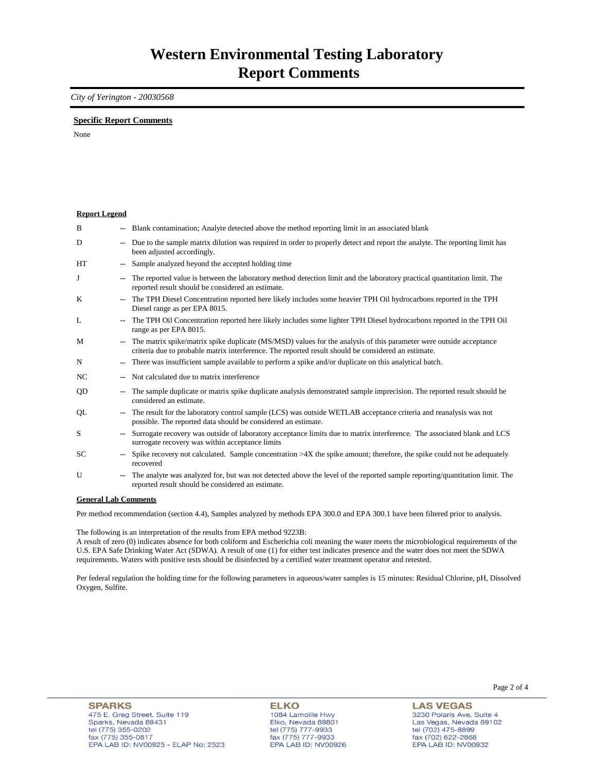## *City of Yerington - 20030568*

## **Specific Report Comments**

None

| <b>Report Legend</b>  |                |                                                                                                                                                                                                                           |
|-----------------------|----------------|---------------------------------------------------------------------------------------------------------------------------------------------------------------------------------------------------------------------------|
| B                     |                | Blank contamination; Analyte detected above the method reporting limit in an associated blank                                                                                                                             |
| D                     | ۰.             | Due to the sample matrix dilution was required in order to properly detect and report the analyte. The reporting limit has<br>been adjusted accordingly.                                                                  |
| <b>HT</b>             |                | Sample analyzed beyond the accepted holding time                                                                                                                                                                          |
| J                     | --             | The reported value is between the laboratory method detection limit and the laboratory practical quantitation limit. The<br>reported result should be considered an estimate.                                             |
| K                     |                | The TPH Diesel Concentration reported here likely includes some heavier TPH Oil hydrocarbons reported in the TPH<br>Diesel range as per EPA 8015.                                                                         |
| L                     | ۰.             | The TPH Oil Concentration reported here likely includes some lighter TPH Diesel hydrocarbons reported in the TPH Oil<br>range as per EPA 8015.                                                                            |
| M                     | --             | The matrix spike/matrix spike duplicate (MS/MSD) values for the analysis of this parameter were outside acceptance<br>criteria due to probable matrix interference. The reported result should be considered an estimate. |
| N                     | ۰.             | There was insufficient sample available to perform a spike and/or duplicate on this analytical batch.                                                                                                                     |
| NC.                   |                | Not calculated due to matrix interference                                                                                                                                                                                 |
| QD                    | ۰.             | The sample duplicate or matrix spike duplicate analysis demonstrated sample imprecision. The reported result should be<br>considered an estimate.                                                                         |
| QL                    | ۰.             | The result for the laboratory control sample (LCS) was outside WETLAB acceptance criteria and reanalysis was not<br>possible. The reported data should be considered an estimate.                                         |
| S                     | $\overline{a}$ | Surrogate recovery was outside of laboratory acceptance limits due to matrix interference. The associated blank and LCS<br>surrogate recovery was within acceptance limits                                                |
| <b>SC</b>             | ۰.             | Spike recovery not calculated. Sample concentration $>4X$ the spike amount; therefore, the spike could not be adequately<br>recovered                                                                                     |
| U                     | ۰.             | The analyte was analyzed for, but was not detected above the level of the reported sample reporting/quantitation limit. The<br>reported result should be considered an estimate.                                          |
| Conoral I ah Commonte |                |                                                                                                                                                                                                                           |

**General Lab Comments**

Per method recommendation (section 4.4), Samples analyzed by methods EPA 300.0 and EPA 300.1 have been filtered prior to analysis.

The following is an interpretation of the results from EPA method 9223B:

A result of zero (0) indicates absence for both coliform and Escherichia coli meaning the water meets the microbiological requirements of the U.S. EPA Safe Drinking Water Act (SDWA). A result of one (1) for either test indicates presence and the water does not meet the SDWA requirements. Waters with positive tests should be disinfected by a certified water treatment operator and retested.

Per federal regulation the holding time for the following parameters in aqueous/water samples is 15 minutes: Residual Chlorine, pH, Dissolved Oxygen, Sulfite.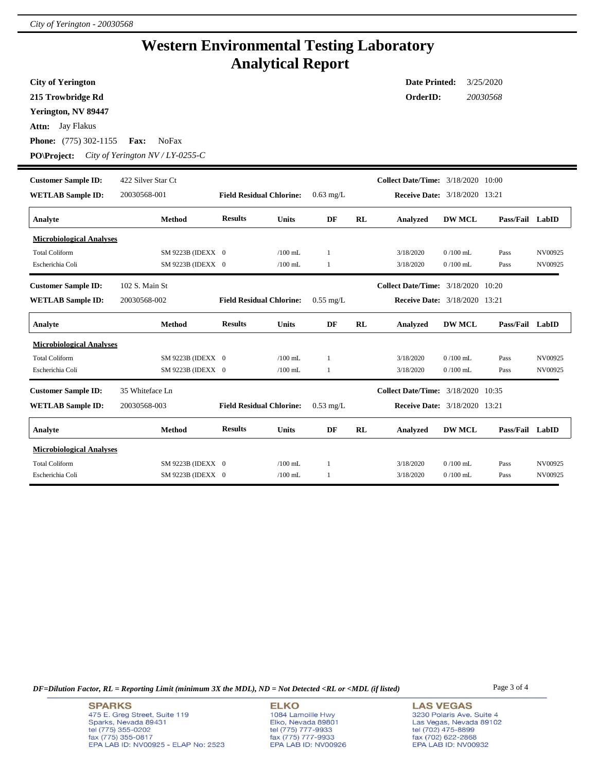i,

## **Western Environmental Testing Laboratory Analytical Report**

| <b>City of Yerington</b><br>215 Trowbridge Rd<br>Yerington, NV 89447<br>Jay Flakus<br>Attn:<br><b>Phone:</b> (775) 302-1155<br><b>PO\Project:</b> | Fax:<br><b>NoFax</b><br>City of Yerington $NV/LY$ -0255-C |                                 |                        |                    |           | <b>Date Printed:</b><br>OrderID:          |                          | 3/25/2020<br>20030568 |                    |
|---------------------------------------------------------------------------------------------------------------------------------------------------|-----------------------------------------------------------|---------------------------------|------------------------|--------------------|-----------|-------------------------------------------|--------------------------|-----------------------|--------------------|
| <b>Customer Sample ID:</b>                                                                                                                        | 422 Silver Star Ct                                        |                                 |                        |                    |           | <b>Collect Date/Time:</b> 3/18/2020 10:00 |                          |                       |                    |
| <b>WETLAB</b> Sample ID:                                                                                                                          | 20030568-001                                              | <b>Field Residual Chlorine:</b> |                        | $0.63$ mg/L        |           | <b>Receive Date:</b> 3/18/2020 13:21      |                          |                       |                    |
| Analyte                                                                                                                                           | Method                                                    | <b>Results</b>                  | Units                  | DF                 | RL        | Analyzed                                  | <b>DW MCL</b>            | Pass/Fail LabID       |                    |
| <b>Microbiological Analyses</b><br><b>Total Coliform</b><br>Escherichia Coli                                                                      | SM 9223B (IDEXX 0<br>SM 9223B (IDEXX 0                    |                                 | $/100$ mL<br>$/100$ mL | $\mathbf{1}$<br>-1 |           | 3/18/2020<br>3/18/2020                    | $0/100$ mL<br>$0/100$ mL | Pass<br>Pass          | NV00925<br>NV00925 |
| <b>Customer Sample ID:</b>                                                                                                                        | 102 S. Main St                                            |                                 |                        |                    |           | <b>Collect Date/Time:</b> 3/18/2020 10:20 |                          |                       |                    |
| <b>WETLAB Sample ID:</b>                                                                                                                          | 20030568-002                                              | <b>Field Residual Chlorine:</b> |                        | $0.55$ mg/L        |           | <b>Receive Date:</b> 3/18/2020 13:21      |                          |                       |                    |
| Analyte                                                                                                                                           | Method                                                    | <b>Results</b>                  | <b>Units</b>           | DF                 | RL        | <b>Analyzed</b>                           | <b>DW MCL</b>            | Pass/Fail LabID       |                    |
| <b>Microbiological Analyses</b>                                                                                                                   |                                                           |                                 |                        |                    |           |                                           |                          |                       |                    |
| <b>Total Coliform</b>                                                                                                                             | SM 9223B (IDEXX 0                                         |                                 | $/100$ mL              | -1                 |           | 3/18/2020                                 | $0/100$ mL               | Pass                  | NV00925            |
| Escherichia Coli                                                                                                                                  | SM 9223B (IDEXX 0                                         |                                 | $/100$ mL              | 1                  |           | 3/18/2020                                 | $0/100$ mL               | Pass                  | NV00925            |
| <b>Customer Sample ID:</b>                                                                                                                        | 35 Whiteface Ln                                           |                                 |                        |                    |           | Collect Date/Time: 3/18/2020 10:35        |                          |                       |                    |
| <b>WETLAB Sample ID:</b>                                                                                                                          | 20030568-003                                              | <b>Field Residual Chlorine:</b> |                        | $0.53$ mg/L        |           | Receive Date: 3/18/2020 13:21             |                          |                       |                    |
| Analyte                                                                                                                                           | Method                                                    | <b>Results</b>                  | <b>Units</b>           | DF                 | <b>RL</b> | Analyzed                                  | <b>DW MCL</b>            | Pass/Fail LabID       |                    |
| <b>Microbiological Analyses</b>                                                                                                                   |                                                           |                                 |                        |                    |           |                                           |                          |                       |                    |
| <b>Total Coliform</b>                                                                                                                             | SM 9223B (IDEXX 0                                         |                                 | $/100$ mL              |                    |           | 3/18/2020                                 | $0/100$ mL               | Pass                  | NV00925            |
| Escherichia Coli                                                                                                                                  | SM 9223B (IDEXX 0                                         |                                 | $/100$ mL              | 1                  |           | 3/18/2020                                 | $0/100$ mL               | Pass                  | NV00925            |

*DF=Dilution Factor, RL = Reporting Limit (minimum 3X the MDL), ND = Not Detected <RL or <MDL (if listed)* Page 3 of 4

**SPARKS** 475 E. Greg Street, Suite 119 Sparks, Nevada 89431<br>tel (775) 355-0202<br>fax (775) 355-0817 EPA LAB ID: NV00925 - ELAP No: 2523

**ELKO** 1084 Lamoille Hwy 1064 Lambile Hwy<br>Elko, Nevada 89801<br>tel (775) 777-9933<br>fax (775) 777-9933<br>EPA LAB ID: NV00926

**LAS VEGAS** 3230 Polaris Ave. Suite 4 Las Vegas, Nevada 89102<br>tel (702) 475-8899<br>fax (702) 622-2868<br>EPA LAB ID: NV00932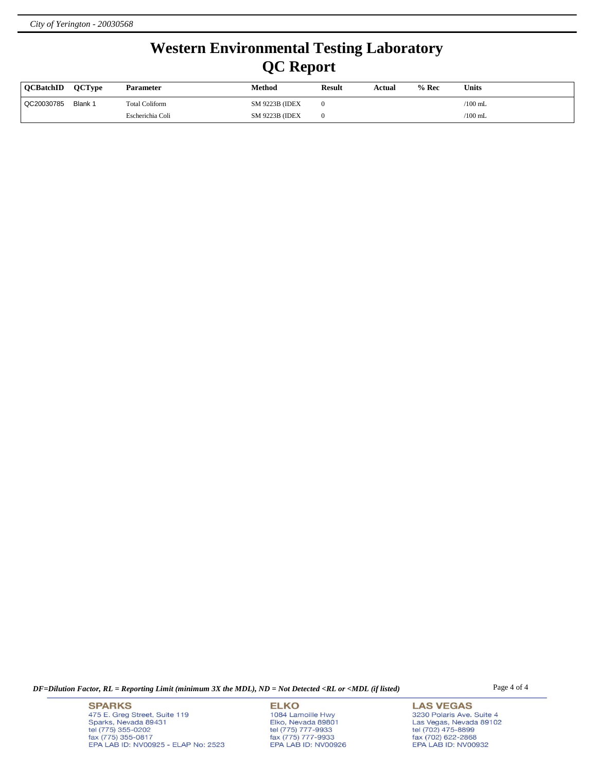## **Western Environmental Testing Laboratory QC Report**

| <b>OCBatchID</b> | <b>OCTvpe</b> | <b>Parameter</b>      | Method                 | Result | Actual | $%$ Rec | <b>Units</b> |
|------------------|---------------|-----------------------|------------------------|--------|--------|---------|--------------|
| QC20030785       | Blank 1       | <b>Total Coliform</b> | <b>SM 9223B (IDEX)</b> |        |        |         | $/100$ mL    |
|                  |               | Escherichia Coli      | <b>SM 9223B (IDEX)</b> |        |        |         | $/100$ mL    |

*DF=Dilution Factor, RL = Reporting Limit (minimum 3X the MDL), ND = Not Detected <RL or <MDL (if listed)* Page 4 of 4

**SPARKS** 475 E. Greg Street, Suite 119 Sparks, Nevada 89431<br>tel (775) 355-0202<br>fax (775) 355-0817 EPA LAB ID: NV00925 - ELAP No: 2523

**ELKO** 1084 Lamoille Hwy Polyton, Nevada 89801<br>tel (775) 777-9933<br>fax (775) 777-9933<br>EPA LAB ID: NV00926

**LAS VEGAS** 3230 Polaris Ave. Suite 4 Las Vegas, Nevada 89102<br>tel (702) 475-8899<br>fax (702) 622-2868<br>EPA LAB ID: NV00932